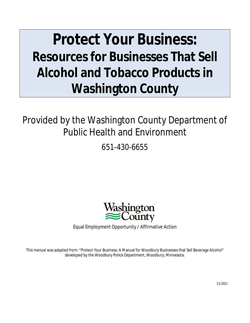# **Protect Your Business: Resources for Businesses That Sell Alcohol and Tobacco Products in Washington County**

Provided by the Washington County Department of Public Health and Environment

651-430-6655



Equal Employment Opportunity / Affirmative Action

This manual was adapted from: "Protect Your Business: A Manual for Woodbury Businesses that Sell Beverage Alcohol" developed by the Woodbury Police Department, Woodbury, Minnesota.

11/2021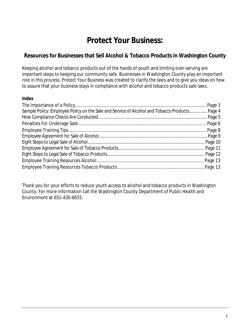### **Protect Your Business:**

#### **Resources for Businesses that Sell Alcohol & Tobacco Products in Washington County**

Keeping alcohol and tobacco products out of the hands of youth and limiting over-serving are important steps to keeping our community safe. Businesses in Washington County play an important role in this process. *Protect Your Business* was created to clarify the laws and to give you ideas on how to assure that your business stays in compliance with alcohol and tobacco products sale laws.

#### **Index**

| Sample Policy: Employee Policy on the Sale and Service of Alcohol and Tobacco Products Page 4 |  |
|-----------------------------------------------------------------------------------------------|--|
|                                                                                               |  |
|                                                                                               |  |
|                                                                                               |  |
|                                                                                               |  |
|                                                                                               |  |
|                                                                                               |  |
|                                                                                               |  |
|                                                                                               |  |
|                                                                                               |  |

Thank you for your efforts to reduce youth access to alcohol and tobacco products in Washington County. For more information call the Washington County Department of Public Health and Environment at 651-430-6655.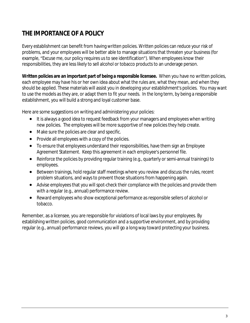### **THE IMPORTANCE OF A POLICY**

Every establishment can benefit from having written policies. Written policies can reduce your risk of problems, and your employees will be better able to manage situations that threaten your business (for example, "Excuse me, our policy requires us to see identification"). When employees know their responsibilities, they are less likely to sell alcohol or tobacco products to an underage person.

**Written policies are an important part of being a responsible licensee.** When you have no written policies, each employee may have his or her own idea about what the rules are, what they mean, and when they should be applied. These materials will assist you in developing your establishment's policies. You may want to use the models as they are, or adapt them to fit your needs. In the long term, by being a responsible establishment, you will build a strong and loyal customer base.

Here are some suggestions on writing and administering your policies:

- It is always a good idea to request feedback from your managers and employees when writing new policies. The employees will be more supportive of new policies they help create.
- Make sure the policies are clear and specific.
- Provide all employees with a copy of the policies.
- To ensure that employees understand their responsibilities, have them sign an Employee Agreement Statement. Keep this agreement in each employee's personnel file.
- Reinforce the policies by providing regular training (e.g., quarterly or semi-annual trainings) to employees.
- Between trainings, hold regular staff meetings where you review and discuss the rules, recent problem situations, and ways to prevent those situations from happening again.
- Advise employees that you will spot-check their compliance with the policies and provide them with a regular (e.g., annual) performance review.
- Reward employees who show exceptional performance asresponsible sellers of alcohol or tobacco.

Remember, as a licensee, you are responsible for violations of local laws by your employees. By establishing written policies, good communication and a supportive environment, and by providing regular (e.g., annual) performance reviews, you will go a long way toward protecting your business.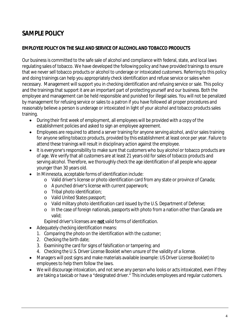### **SAMPLE POLICY**

#### **EMPLOYEE POLICY ON THE SALE AND SERVICE OF ALCOHOL AND TOBACCO PRODUCTS**

Our business is committed to the safe sale of alcohol and compliance with federal, state, and local laws regulating sales of tobacco. We have developed the following policy and have provided trainings to ensure that we never sell tobacco products or alcohol to underage or intoxicated customers. Referring to this policy and doing trainings can help you appropriately check identification and refuse service orsales when necessary. Management willsupport you in checking identification and refusing service orsale. This policy and the trainings that support it are an important part of protecting yourself and our business. Both the employee and management can be held responsible and punished for illegal sales. You will not be penalized by management for refusing service or sales to a patron if you have followed all proper procedures and reasonably believe a person is underage or intoxicated in light of your alcohol and tobacco products sales training.

- During their first week of employment, all employees will be provided with a copy of the establishment policies and asked to sign an employee agreement.
- Employees are required to attend a server training for anyone serving alcohol, and/or sales training for anyone selling tobacco products, provided by this establishment at least once per year. Failure to attend these trainings will result in disciplinary action against the employee.
- It is everyone's responsibility to make sure that customers who buy alcohol or tobacco products are of age. We verify that all customers are at least 21 years old forsales of tobacco products and serving alcohol. Therefore, we thoroughly check the age identification of all people who appear younger than 30 years old.
- In Minnesota, acceptable forms of identification include:
	- o Valid driver's license or photo identification card from any state or province of Canada;
	- $\circ$  A punched driver's license with current paperwork;
	- o Tribal photo identification;
	- o Valid United States passport;
	- o Valid military photo identification card issued by the U.S. Department of Defense;
	- o In the case of foreign nationals, passports with photo from a nation other than Canada are valid;

Expired driver's licenses are **not** valid forms of identification.

- Adequately checking identification means:
	- 1. Comparing the photo on the identification with the customer;
	- 2. Checking the birth date;
	- 3. Examining the card for signs of falsification or tampering; and
	- 4. Checking the U.S. Driver License Booklet when unsure of the validity of a license.
- Managers will post signs and make materials available (example: US Driver License Booklet) to employees to help them follow the laws.
- We will discourage intoxication, and not serve any person who looks or acts intoxicated, even if they are taking a taxicab or have a "designated driver." This includes employees and regular customers.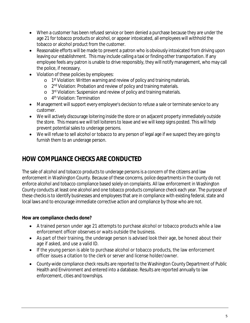- When a customer has been refused service or been denied a purchase because they are under the age 21 for tobacco products or alcohol, or appear intoxicated, all employees will withhold the tobacco or alcohol product from the customer.
- Reasonable efforts will be made to prevent a patron who is obviously intoxicated from driving upon leaving our establishment. This may include calling a taxi or finding other transportation. If any employee feels any patron is unable to drive responsibly, they will notify management, who may call the police, if necessary.
- Violation of these policies by employees:
	- o 1<sup>st</sup> Violation: Written warning and review of policy and training materials.
	- o 2<sup>nd</sup> Violation: Probation and review of policy and training materials.
	- o 3<sup>rd</sup> Violation: Suspension and review of policy and training materials.
	- o 4 th Violation: Termination
- Management will support every employee's decision to refuse a sale or terminate service to any customer.
- We will actively discourage loitering inside the store or on adjacent property immediately outside the store. This means we will tell loiterers to leave and we will keep signs posted. This will help prevent potential sales to underage persons.
- We will refuse to sell alcohol or tobacco to any person of legal age if we suspect they are going to furnish them to an underage person.

### **HOW COMPLIANCE CHECKS ARE CONDUCTED**

The sale of alcohol and tobacco products to underage persons is a concern of the citizens and law enforcement in Washington County. Because of these concerns, police departments in the county do not enforce alcohol and tobacco compliance based solely on complaints. All law enforcement in Washington County conducts at least one alcohol and one tobacco products compliance check each year. The purpose of these checks is to identify businesses and employees that are in compliance with existing federal, state and local laws and to encourage immediate corrective action and compliance by those who are not.

#### **How are compliance checks done?**

- A trained person under age 21 attempts to purchase alcohol or tobacco products while a law enforcement officer observes or waits outside the business.
- As part of their training, the underage person is advised look their age, be honest about their age if asked, and use a valid ID.
- If the young person is able to purchase alcohol or tobacco products, the law enforcement officer issues a citation to the clerk or server and license holder/owner.
- County-wide compliance check results are reported to the Washington County Department of Public Health and Environment and entered into a database. Results are reported annually to law enforcement, cities and townships.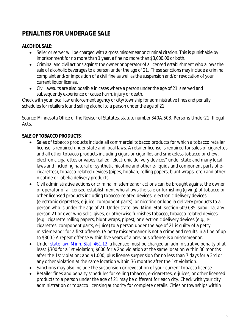### **PENALTIES FOR UNDERAGE SALE**

#### **ALCOHOL SALE:**

- Seller or server will be charged with a gross misdemeanor criminal citation. This is punishable by imprisonment for no more than 1 year, a fine no more than \$3,000.00 or both.
- Criminal and civil actions against the owner or operator of a licensed establishment who allows the sale of alcoholic beverages to a person under the age of 21. These sanctions may include a criminal complaint and/or imposition of a civil fine as well as the suspension and/or revocation of your current liquor license.
- Civil lawsuits are also possible in cases where a person under the age of 21 is served and subsequently experience or cause harm, injury or death.

Check with your local law enforcement agency or city/township for administrative fines and penalty schedules for retailers found selling alcohol to a person under the age of 21.

Source: Minnesota Office of the Revisor of Statutes, statute number 340A.503, Persons Under21, Illegal Acts.

#### **SALE OF TOBACCO PRODUCTS**:

- Sales of tobacco products include all commercial tobacco products for which a tobacco retailer license is required under state and local laws. A retailer license is required for sales of cigarettes and all other tobacco products including cigars or cigarillos and smokeless tobacco or chew, electronic cigarettes or vapes (called "electronic delivery devices" under state and many local laws and including natural or synthetic nicotine and other e-liquids and component parts of ecigarettes), tobacco-related devices (pipes, hookah, rolling papers, blunt wraps, etc.) and other nicotine or lobelia delivery products.
- Civil administrative actions or criminal misdemeanor actions can be brought against the owner or operator of a licensed establishment who allows the sale or furnishing (giving) of tobacco or other licensed products including tobacco-related devices, electronic delivery devices (electronic cigarettes, e-juice, component parts), or nicotine or lobelia delivery products to a person who is under the age of 21. Under state law, Minn. Stat. section 609.685, subd. 1a, any person 21 or over who sells, gives, or otherwise furnishes tobacco, tobacco-related devices (e.g., cigarette rolling papers, blunt wraps, pipes), or electronic delivery devices (e.g., ecigarettes, component parts, e-juice) to a person under the age of 21 is guilty of a petty misdemeanor for a first offense. (A petty misdemeanor is not a crime and results in a fine of up to \$300.) A repeat offense within five years of a previous offense is a misdemeanor.
- Under [state law, Minn. Stat. 461.12,](https://www.revisor.mn.gov/statutes/cite/461.12) a licensee must be charged an administrative penalty of at least \$300 for a 1st violation; \$600 for a 2nd violation at the same location within 36 months after the 1st violation; and \$1,000, plus license suspension for no less than 7 days for a 3rd or any other violation at the same location within 36 months after the 1st violation.
- Sanctions may also include the suspension or revocation of your current tobacco license.
- Retailer fines and penalty schedules for selling tobacco, e-cigarettes, e-juices, or other licensed products to a person under the age of 21 may be different for each city. Check with your city administration or tobacco licensing authority for complete details. Cities or townships within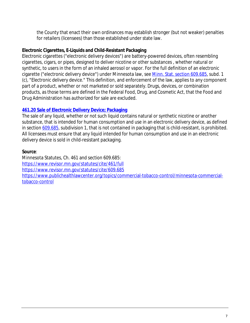the County that enact their own ordinances may establish stronger (but not weaker) penalties for retailers (licensees) than those established under state law.

#### **Electronic Cigarettes, E-Liquids and Child-Resistant Packaging**

Electronic cigarettes ("electronic delivery devices") are battery-powered devices, often resembling cigarettes, cigars, or pipes, designed to deliver nicotine or other substances , whether natural or synthetic, to users in the form of an inhaled aerosol or vapor. For the full definition of an electronic cigarette ("electronic delivery device") under Minnesota law, see [Minn. Stat. section 609.685,](https://www.revisor.mn.gov/statutes/cite/609.685) subd. 1 (c), "Electronic delivery device." This definition, and enforcement of the law, applies to any component part of a product, whether or not marketed or sold separately. Drugs, devices, or combination products, as those terms are defined in the Federal Food, Drug, and Cosmetic Act, that the Food and Drug Administration has authorized for sale are excluded.

#### **[461.20 Sale of Electronic Delivery Device; Packaging](https://www.revisor.mn.gov/statutes/cite/461.20)**

[The sale of any liquid, whether or not such liquid contains natural or synthetic nicotine or another](https://www.revisor.mn.gov/statutes/cite/461.20)  [substance, that is intended for human consumption and use in an electronic delivery device, as defined](https://www.revisor.mn.gov/statutes/cite/461.20) [in section](https://www.revisor.mn.gov/statutes/cite/461.20) [609.685](https://www.revisor.mn.gov/statutes/cite/609.685), subdivision 1, that is not contained in packaging that is child-resistant, is prohibited. All licensees must ensure that any liquid intended for human consumption and use in an electronic delivery device is sold in child-resistant packaging.

#### **Source**:

Minnesota Statutes, Ch. 461 and section 609.685: <https://www.revisor.mn.gov/statutes/cite/461/full> <https://www.revisor.mn.gov/statutes/cite/609.685> [https://www.publichealthlawcenter.org/topics/commercial-tobacco-control/minnesota-commercial](https://www.publichealthlawcenter.org/topics/commercial-tobacco-control/minnesota-commercial-tobacco-control)tobacco-control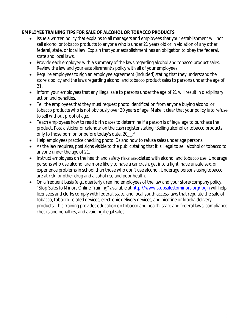#### **EMPLOYEE TRAINING TIPS FOR SALE OF ALCOHOL OR TOBACCO PRODUCTS**

- Issue a written policy that explains to all managers and employees that your establishment will not sell alcohol or tobacco products to anyone who is under 21 years old or in violation of any other federal, state, or local law. Explain that your establishment has an obligation to obey the federal, state and local laws.
- Provide each employee with a summary of the laws regarding alcohol and tobacco product sales. Review the law and your establishment's policy with all of your employees.
- Require employees to sign an employee agreement (included) stating that they understand the store's policy and the laws regarding alcohol and tobacco product sales to persons under the age of 21.
- Inform your employees that any illegal sale to persons under the age of 21 will result in disciplinary action and penalties.
- Tell the employees that they must request photo identification from anyone buying alcohol or tobacco products who is not obviously over 30 years of age. Make it clear that your policy isto refuse to sell without proof of age.
- Teach employees how to read birth dates to determine if a person is of legal age to purchase the product. Post a sticker or calendar on the cash register stating "Selling alcohol or tobacco products only to those born on or before today's date, 20\_\_."
- Help employees practice checking photo IDs and how to refuse sales under age persons.
- As the law requires, post signs visible to the public stating that it is illegal to sell alcohol or tobacco to anyone under the age of 21.
- Instruct employees on the health and safety risks associated with alcohol and tobacco use. Underage persons who use alcohol are more likely to have a car crash, get into a fight, have unsafe sex, or experience problems in school than those who don't use alcohol. Underage persons using tobacco are at risk for other drug and alcohol use and poor health.
- On a frequent basis(e.g., quarterly), remind employees of the law and yourstore/company policy. "Stop Sales to Minors Online Training" available at <http://www.stopsalestominors.org/login> will help licensees and clerks comply with federal, state, and local youth access laws that regulate the sale of tobacco, tobacco-related devices, electronic delivery devices, and nicotine or lobelia delivery products. This training provides education on tobacco and health, state and federal laws, compliance checks and penalties, and avoiding illegal sales.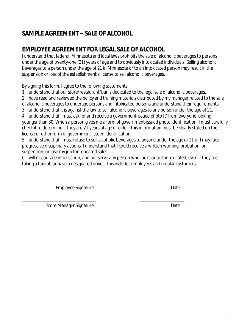### **SAMPLE AGREEMENT – SALE OF ALCOHOL**

### **EMPLOYEE AGREEMENT FOR LEGAL SALE OF ALCOHOL**

I understand that federal, Minnesota and local laws prohibits the sale of alcoholic beverages to persons under the age of twenty-one (21) years of age and to obviously intoxicated individuals. Selling alcoholic beveragesto a person under the age of 21 in Minnesota or to an intoxicated person may result in the suspension or loss of the establishment's license to sell alcoholic beverages.

By signing this form, I agree to the following statements:

1. I understand that our store/restaurant/bar is dedicated to the legal sale of alcoholic beverages.

2. I have read and reviewed the policy and training materials distributed by my manager related to the sale of alcoholic beveragesto underage persons and intoxicated persons and understand their requirements.

3. I understand that it is against the law to sell alcoholic beveragesto any person under the age of 21.

4. I understand that I must ask for and receive a government-issued photo ID from everyone looking younger than 30. When a person gives me a form of government-issued photo identification, I must carefully check it to determine if they are 21 years of age or older. Thisinformation must be clearly stated on the license or other form of government-issued identification.

5. I understand that I must refuse to sell alcoholic beveragesto anyone under the age of 21 or I may face progressive disciplinary actions. I understand that I could receive a written warning, probation, or suspension, or lose my job for repeated sales.

6. I will discourage intoxication, and not serve any person who looks or acts intoxicated, even if they are taking a taxicab or have a designated driver. This includes employees and regular customers.

Employee Signature **Date** Date

Store Manager Signature Date Date

 $\overline{a}$ 

 $\overline{a}$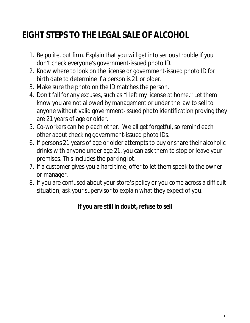# **EIGHT STEPS TO THE LEGAL SALE OF ALCOHOL**

- 1. Be polite, but firm. Explain that you will get into serioustrouble if you don't check everyone's government-issued photo ID.
- 2. Know where to look on the license or government-issued photo ID for birth date to determine if a person is 21 or older.
- 3. Make sure the photo on the ID matches the person.
- 4. Don't fall for any excuses, such as "I left my license at home." Let them know you are not allowed by management or under the law to sell to anyone without valid government-issued photo identification proving they are 21 years of age or older.
- 5. Co-workers can help each other. We all get forgetful, so remind each other about checking government-issued photo IDs.
- 6. If persons 21 years of age or older attemptsto buy orshare their alcoholic drinks with anyone under age 21, you can ask them to stop or leave your premises. This includes the parking lot.
- 7. If a customer gives you a hard time, offer to let them speak to the owner or manager.
- 8. If you are confused about your store's policy or you come across a difficult situation, ask your supervisor to explain what they expect of you.

### *If you are still in doubt, refuse to sell*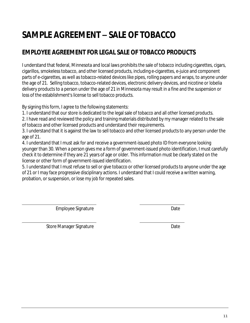## **SAMPLE AGREEMENT – SALE OF TOBACCO**

### **EMPLOYEE AGREEMENT FOR LEGAL SALE OF TOBACCO PRODUCTS**

I understand that federal, Minnesota and local laws prohibits the sale of tobacco including cigarettes, cigars, cigarillos, smokeless tobacco, and other licensed products, including e-cigarettes, e-juice and component parts of e-cigarettes, as well as tobacco-related devices like pipes, rolling papers and wraps, to anyone under the age of 21. Selling tobacco, tobacco-related devices, electronic delivery devices, and nicotine or lobelia delivery products to a person under the age of 21 in Minnesota may result in a fine and the suspension or loss of the establishment's license to sell tobacco products.

By signing this form, I agree to the following statements:

1. I understand that our store is dedicated to the legal sale of tobacco and all other licensed products.

2. I have read and reviewed the policy and training materials distributed by my manager related to the sale of tobacco and other licensed products and understand their requirements.

3. I understand that it is against the law to sell tobacco and other licensed products to any person under the age of 21.

4. I understand that I must ask for and receive a government-issued photo ID from everyone looking younger than 30. When a person gives me a form of government-issued photo identification, I must carefully check it to determine if they are 21 years of age or older. Thisinformation must be clearly stated on the license or other form of government-issued identification.

5. I understand that I must refuse to sell or give tobacco or other licensed productsto anyone under the age of 21 or I may face progressive disciplinary actions. I understand that I could receive a written warning, probation, or suspension, or lose my job for repeated sales.

Employee Signature Date

Store Manager Signature Date Date

 $\overline{a}$ 

 $\overline{a}$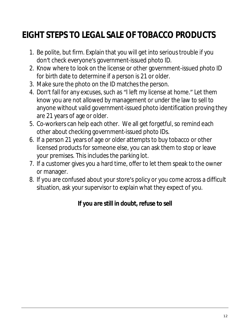# **EIGHT STEPS TO LEGAL SALE OF TOBACCO PRODUCTS**

- 1. Be polite, but firm. Explain that you will get into serioustrouble if you don't check everyone's government-issued photo ID.
- 2. Know where to look on the license or other government-issued photo ID for birth date to determine if a person is 21 or older.
- 3. Make sure the photo on the ID matches the person.
- 4. Don't fall for any excuses, such as "I left my license at home." Let them know you are not allowed by management or under the law to sell to anyone without valid government-issued photo identification proving they are 21 years of age or older.
- 5. Co-workers can help each other. We all get forgetful, so remind each other about checking government-issued photo IDs.
- 6. If a person 21 years of age or older attempts to buy tobacco or other licensed products for someone else, you can ask them to stop or leave your premises. This includes the parking lot.
- 7. If a customer gives you a hard time, offer to let them speak to the owner or manager.
- 8. If you are confused about yourstore's policy or you come across a difficult situation, ask your supervisor to explain what they expect of you.

### *If you are still in doubt, refuse to sell*